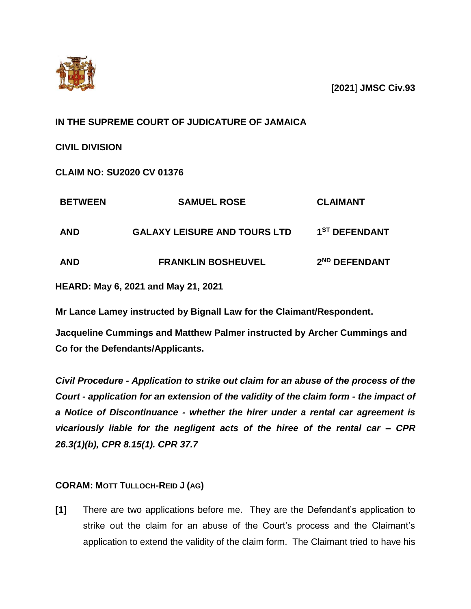

[**2021**] **JMSC Civ.93**

# **IN THE SUPREME COURT OF JUDICATURE OF JAMAICA**

**CIVIL DIVISION**

**CLAIM NO: SU2020 CV 01376**

| <b>SAMUEL ROSE</b>                  | <b>CLAIMANT</b>           |
|-------------------------------------|---------------------------|
| <b>GALAXY LEISURE AND TOURS LTD</b> | 1 <sup>ST</sup> DEFENDANT |
| <b>FRANKLIN BOSHEUVEL</b>           | 2 <sup>ND</sup> DEFENDANT |
|                                     |                           |

**HEARD: May 6, 2021 and May 21, 2021**

**Mr Lance Lamey instructed by Bignall Law for the Claimant/Respondent.**

**Jacqueline Cummings and Matthew Palmer instructed by Archer Cummings and Co for the Defendants/Applicants.**

*Civil Procedure - Application to strike out claim for an abuse of the process of the Court - application for an extension of the validity of the claim form - the impact of a Notice of Discontinuance - whether the hirer under a rental car agreement is vicariously liable for the negligent acts of the hiree of the rental car – CPR 26.3(1)(b), CPR 8.15(1). CPR 37.7* 

# **CORAM: MOTT TULLOCH-REID J (AG)**

**[1]** There are two applications before me. They are the Defendant's application to strike out the claim for an abuse of the Court's process and the Claimant's application to extend the validity of the claim form. The Claimant tried to have his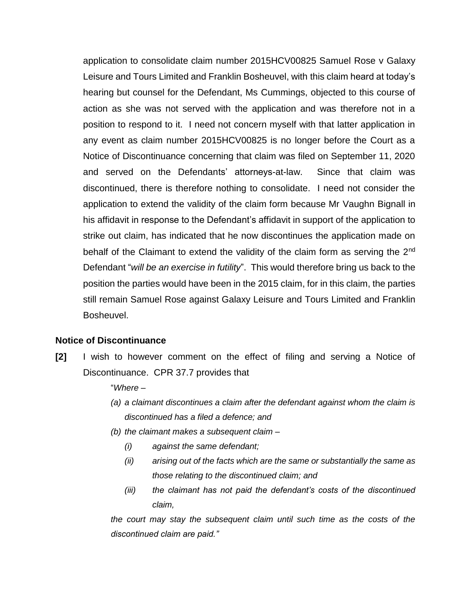application to consolidate claim number 2015HCV00825 Samuel Rose v Galaxy Leisure and Tours Limited and Franklin Bosheuvel, with this claim heard at today's hearing but counsel for the Defendant, Ms Cummings, objected to this course of action as she was not served with the application and was therefore not in a position to respond to it. I need not concern myself with that latter application in any event as claim number 2015HCV00825 is no longer before the Court as a Notice of Discontinuance concerning that claim was filed on September 11, 2020 and served on the Defendants' attorneys-at-law. Since that claim was discontinued, there is therefore nothing to consolidate. I need not consider the application to extend the validity of the claim form because Mr Vaughn Bignall in his affidavit in response to the Defendant's affidavit in support of the application to strike out claim, has indicated that he now discontinues the application made on behalf of the Claimant to extend the validity of the claim form as serving the 2<sup>nd</sup> Defendant "*will be an exercise in futility*". This would therefore bring us back to the position the parties would have been in the 2015 claim, for in this claim, the parties still remain Samuel Rose against Galaxy Leisure and Tours Limited and Franklin Bosheuvel.

#### **Notice of Discontinuance**

**[2]** I wish to however comment on the effect of filing and serving a Notice of Discontinuance. CPR 37.7 provides that

"*Where –*

- *(a) a claimant discontinues a claim after the defendant against whom the claim is discontinued has a filed a defence; and*
- *(b) the claimant makes a subsequent claim –*
	- *(i) against the same defendant;*
	- *(ii) arising out of the facts which are the same or substantially the same as those relating to the discontinued claim; and*
	- *(iii) the claimant has not paid the defendant's costs of the discontinued claim,*

*the court may stay the subsequent claim until such time as the costs of the discontinued claim are paid."*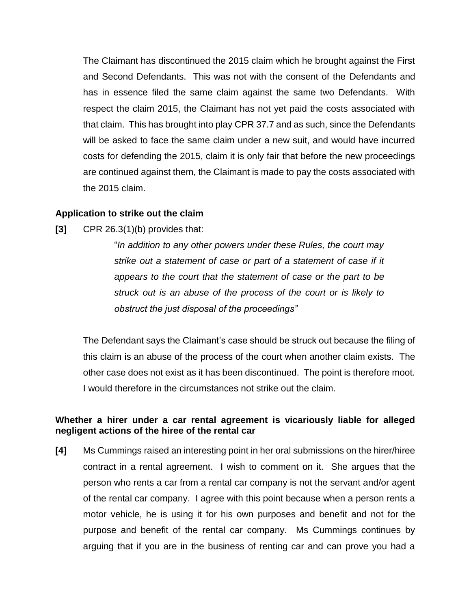The Claimant has discontinued the 2015 claim which he brought against the First and Second Defendants. This was not with the consent of the Defendants and has in essence filed the same claim against the same two Defendants. With respect the claim 2015, the Claimant has not yet paid the costs associated with that claim. This has brought into play CPR 37.7 and as such, since the Defendants will be asked to face the same claim under a new suit, and would have incurred costs for defending the 2015, claim it is only fair that before the new proceedings are continued against them, the Claimant is made to pay the costs associated with the 2015 claim.

### **Application to strike out the claim**

**[3]** CPR 26.3(1)(b) provides that:

"*In addition to any other powers under these Rules, the court may strike out a statement of case or part of a statement of case if it appears to the court that the statement of case or the part to be struck out is an abuse of the process of the court or is likely to obstruct the just disposal of the proceedings"*

The Defendant says the Claimant's case should be struck out because the filing of this claim is an abuse of the process of the court when another claim exists. The other case does not exist as it has been discontinued. The point is therefore moot. I would therefore in the circumstances not strike out the claim.

### **Whether a hirer under a car rental agreement is vicariously liable for alleged negligent actions of the hiree of the rental car**

**[4]** Ms Cummings raised an interesting point in her oral submissions on the hirer/hiree contract in a rental agreement. I wish to comment on it. She argues that the person who rents a car from a rental car company is not the servant and/or agent of the rental car company. I agree with this point because when a person rents a motor vehicle, he is using it for his own purposes and benefit and not for the purpose and benefit of the rental car company. Ms Cummings continues by arguing that if you are in the business of renting car and can prove you had a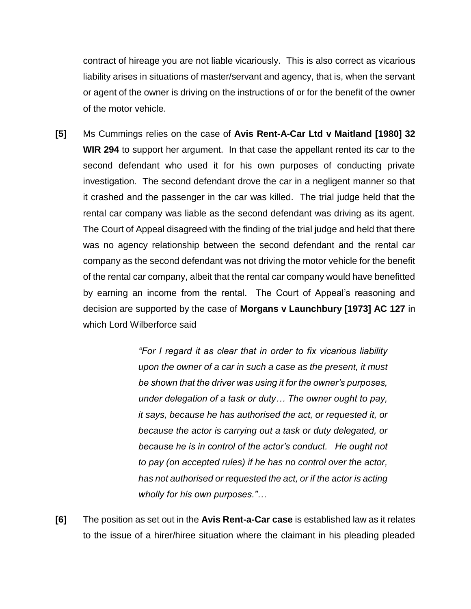contract of hireage you are not liable vicariously. This is also correct as vicarious liability arises in situations of master/servant and agency, that is, when the servant or agent of the owner is driving on the instructions of or for the benefit of the owner of the motor vehicle.

**[5]** Ms Cummings relies on the case of **Avis Rent-A-Car Ltd v Maitland [1980] 32 WIR 294** to support her argument. In that case the appellant rented its car to the second defendant who used it for his own purposes of conducting private investigation. The second defendant drove the car in a negligent manner so that it crashed and the passenger in the car was killed. The trial judge held that the rental car company was liable as the second defendant was driving as its agent. The Court of Appeal disagreed with the finding of the trial judge and held that there was no agency relationship between the second defendant and the rental car company as the second defendant was not driving the motor vehicle for the benefit of the rental car company, albeit that the rental car company would have benefitted by earning an income from the rental. The Court of Appeal's reasoning and decision are supported by the case of **Morgans v Launchbury [1973] AC 127** in which Lord Wilberforce said

> *"For I regard it as clear that in order to fix vicarious liability upon the owner of a car in such a case as the present, it must be shown that the driver was using it for the owner's purposes, under delegation of a task or duty… The owner ought to pay, it says, because he has authorised the act, or requested it, or because the actor is carrying out a task or duty delegated, or because he is in control of the actor's conduct. He ought not to pay (on accepted rules) if he has no control over the actor, has not authorised or requested the act, or if the actor is acting wholly for his own purposes."…*

**[6]** The position as set out in the **Avis Rent-a-Car case** is established law as it relates to the issue of a hirer/hiree situation where the claimant in his pleading pleaded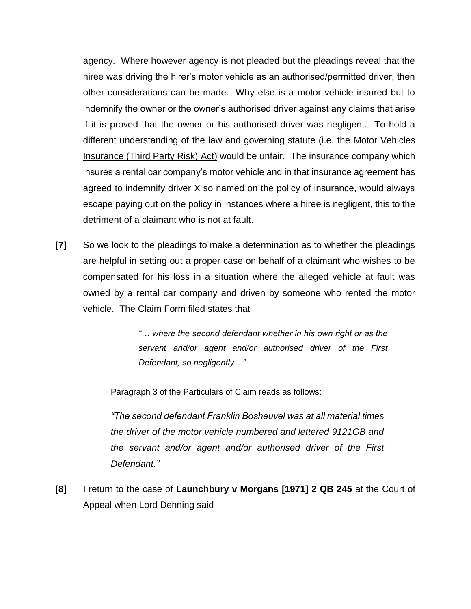agency. Where however agency is not pleaded but the pleadings reveal that the hiree was driving the hirer's motor vehicle as an authorised/permitted driver, then other considerations can be made. Why else is a motor vehicle insured but to indemnify the owner or the owner's authorised driver against any claims that arise if it is proved that the owner or his authorised driver was negligent. To hold a different understanding of the law and governing statute (i.e. the Motor Vehicles Insurance (Third Party Risk) Act) would be unfair. The insurance company which insures a rental car company's motor vehicle and in that insurance agreement has agreed to indemnify driver X so named on the policy of insurance, would always escape paying out on the policy in instances where a hiree is negligent, this to the detriment of a claimant who is not at fault.

**[7]** So we look to the pleadings to make a determination as to whether the pleadings are helpful in setting out a proper case on behalf of a claimant who wishes to be compensated for his loss in a situation where the alleged vehicle at fault was owned by a rental car company and driven by someone who rented the motor vehicle. The Claim Form filed states that

> *"… where the second defendant whether in his own right or as the servant and/or agent and/or authorised driver of the First Defendant, so negligently…"*

Paragraph 3 of the Particulars of Claim reads as follows:

*"The second defendant Franklin Bosheuvel was at all material times the driver of the motor vehicle numbered and lettered 9121GB and the servant and/or agent and/or authorised driver of the First Defendant."*

**[8]** I return to the case of **Launchbury v Morgans [1971] 2 QB 245** at the Court of Appeal when Lord Denning said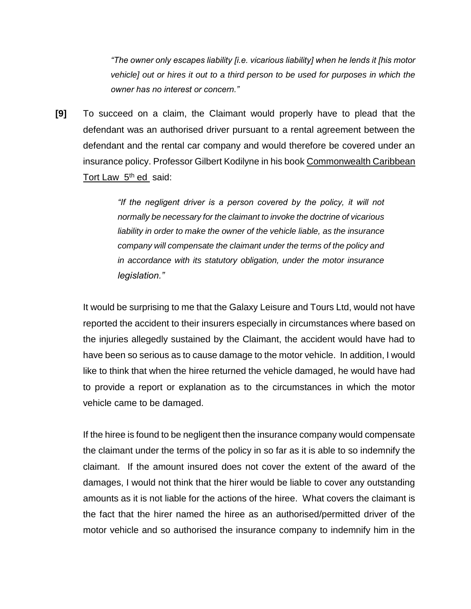*"The owner only escapes liability [i.e. vicarious liability] when he lends it [his motor vehicle] out or hires it out to a third person to be used for purposes in which the owner has no interest or concern."*

**[9]** To succeed on a claim, the Claimant would properly have to plead that the defendant was an authorised driver pursuant to a rental agreement between the defendant and the rental car company and would therefore be covered under an insurance policy. Professor Gilbert Kodilyne in his book Commonwealth Caribbean Tort Law 5<sup>th</sup> ed said:

> *"If the negligent driver is a person covered by the policy, it will not normally be necessary for the claimant to invoke the doctrine of vicarious liability in order to make the owner of the vehicle liable, as the insurance company will compensate the claimant under the terms of the policy and in accordance with its statutory obligation, under the motor insurance legislation."*

It would be surprising to me that the Galaxy Leisure and Tours Ltd, would not have reported the accident to their insurers especially in circumstances where based on the injuries allegedly sustained by the Claimant, the accident would have had to have been so serious as to cause damage to the motor vehicle. In addition, I would like to think that when the hiree returned the vehicle damaged, he would have had to provide a report or explanation as to the circumstances in which the motor vehicle came to be damaged.

If the hiree is found to be negligent then the insurance company would compensate the claimant under the terms of the policy in so far as it is able to so indemnify the claimant. If the amount insured does not cover the extent of the award of the damages, I would not think that the hirer would be liable to cover any outstanding amounts as it is not liable for the actions of the hiree. What covers the claimant is the fact that the hirer named the hiree as an authorised/permitted driver of the motor vehicle and so authorised the insurance company to indemnify him in the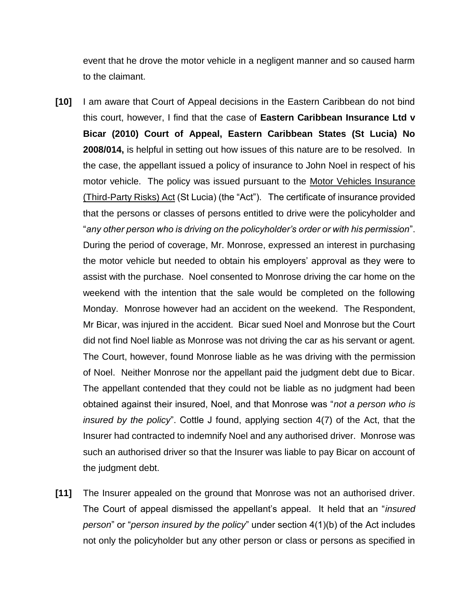event that he drove the motor vehicle in a negligent manner and so caused harm to the claimant.

- **[10]** I am aware that Court of Appeal decisions in the Eastern Caribbean do not bind this court, however, I find that the case of **Eastern Caribbean Insurance Ltd v Bicar (2010) Court of Appeal, Eastern Caribbean States (St Lucia) No 2008/014,** is helpful in setting out how issues of this nature are to be resolved. In the case, the appellant issued a policy of insurance to John Noel in respect of his motor vehicle. The policy was issued pursuant to the Motor Vehicles Insurance (Third-Party Risks) Act (St Lucia) (the "Act"). The certificate of insurance provided that the persons or classes of persons entitled to drive were the policyholder and "*any other person who is driving on the policyholder's order or with his permission*". During the period of coverage, Mr. Monrose, expressed an interest in purchasing the motor vehicle but needed to obtain his employers' approval as they were to assist with the purchase. Noel consented to Monrose driving the car home on the weekend with the intention that the sale would be completed on the following Monday. Monrose however had an accident on the weekend. The Respondent, Mr Bicar, was injured in the accident. Bicar sued Noel and Monrose but the Court did not find Noel liable as Monrose was not driving the car as his servant or agent. The Court, however, found Monrose liable as he was driving with the permission of Noel. Neither Monrose nor the appellant paid the judgment debt due to Bicar. The appellant contended that they could not be liable as no judgment had been obtained against their insured, Noel, and that Monrose was "*not a person who is insured by the policy*". Cottle J found, applying section 4(7) of the Act, that the Insurer had contracted to indemnify Noel and any authorised driver. Monrose was such an authorised driver so that the Insurer was liable to pay Bicar on account of the judgment debt.
- **[11]** The Insurer appealed on the ground that Monrose was not an authorised driver. The Court of appeal dismissed the appellant's appeal. It held that an "*insured person*" or "*person insured by the policy*" under section 4(1)(b) of the Act includes not only the policyholder but any other person or class or persons as specified in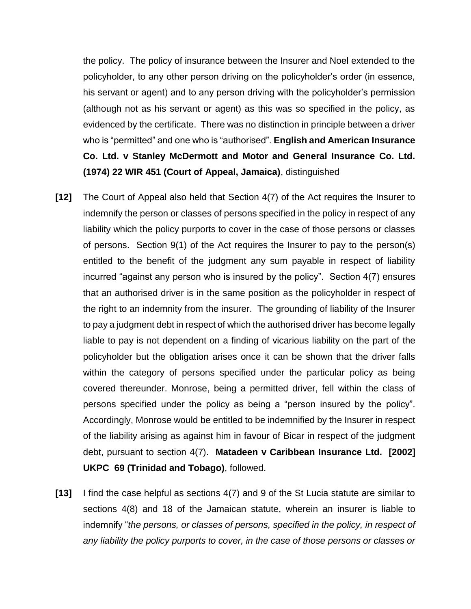the policy. The policy of insurance between the Insurer and Noel extended to the policyholder, to any other person driving on the policyholder's order (in essence, his servant or agent) and to any person driving with the policyholder's permission (although not as his servant or agent) as this was so specified in the policy, as evidenced by the certificate. There was no distinction in principle between a driver who is "permitted" and one who is "authorised". **English and American Insurance Co. Ltd. v Stanley McDermott and Motor and General Insurance Co. Ltd. (1974) 22 WIR 451 (Court of Appeal, Jamaica)**, distinguished

- **[12]** The Court of Appeal also held that Section 4(7) of the Act requires the Insurer to indemnify the person or classes of persons specified in the policy in respect of any liability which the policy purports to cover in the case of those persons or classes of persons. Section 9(1) of the Act requires the Insurer to pay to the person(s) entitled to the benefit of the judgment any sum payable in respect of liability incurred "against any person who is insured by the policy". Section 4(7) ensures that an authorised driver is in the same position as the policyholder in respect of the right to an indemnity from the insurer. The grounding of liability of the Insurer to pay a judgment debt in respect of which the authorised driver has become legally liable to pay is not dependent on a finding of vicarious liability on the part of the policyholder but the obligation arises once it can be shown that the driver falls within the category of persons specified under the particular policy as being covered thereunder. Monrose, being a permitted driver, fell within the class of persons specified under the policy as being a "person insured by the policy". Accordingly, Monrose would be entitled to be indemnified by the Insurer in respect of the liability arising as against him in favour of Bicar in respect of the judgment debt, pursuant to section 4(7). **Matadeen v Caribbean Insurance Ltd. [2002] UKPC 69 (Trinidad and Tobago)**, followed.
- **[13]** I find the case helpful as sections 4(7) and 9 of the St Lucia statute are similar to sections 4(8) and 18 of the Jamaican statute, wherein an insurer is liable to indemnify "*the persons, or classes of persons, specified in the policy, in respect of any liability the policy purports to cover, in the case of those persons or classes or*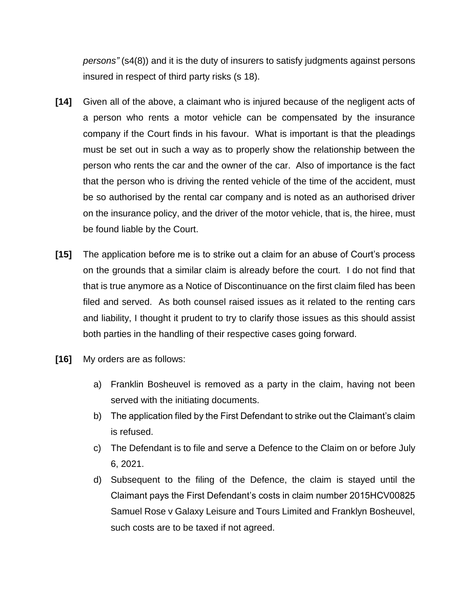*persons"* (s4(8)) and it is the duty of insurers to satisfy judgments against persons insured in respect of third party risks (s 18).

- **[14]** Given all of the above, a claimant who is injured because of the negligent acts of a person who rents a motor vehicle can be compensated by the insurance company if the Court finds in his favour. What is important is that the pleadings must be set out in such a way as to properly show the relationship between the person who rents the car and the owner of the car. Also of importance is the fact that the person who is driving the rented vehicle of the time of the accident, must be so authorised by the rental car company and is noted as an authorised driver on the insurance policy, and the driver of the motor vehicle, that is, the hiree, must be found liable by the Court.
- **[15]** The application before me is to strike out a claim for an abuse of Court's process on the grounds that a similar claim is already before the court. I do not find that that is true anymore as a Notice of Discontinuance on the first claim filed has been filed and served. As both counsel raised issues as it related to the renting cars and liability, I thought it prudent to try to clarify those issues as this should assist both parties in the handling of their respective cases going forward.
- **[16]** My orders are as follows:
	- a) Franklin Bosheuvel is removed as a party in the claim, having not been served with the initiating documents.
	- b) The application filed by the First Defendant to strike out the Claimant's claim is refused.
	- c) The Defendant is to file and serve a Defence to the Claim on or before July 6, 2021.
	- d) Subsequent to the filing of the Defence, the claim is stayed until the Claimant pays the First Defendant's costs in claim number 2015HCV00825 Samuel Rose v Galaxy Leisure and Tours Limited and Franklyn Bosheuvel, such costs are to be taxed if not agreed.